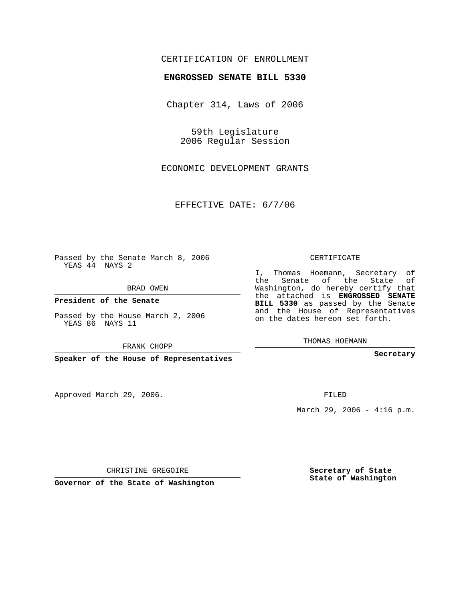## CERTIFICATION OF ENROLLMENT

## **ENGROSSED SENATE BILL 5330**

Chapter 314, Laws of 2006

59th Legislature 2006 Regular Session

ECONOMIC DEVELOPMENT GRANTS

EFFECTIVE DATE: 6/7/06

Passed by the Senate March 8, 2006 YEAS 44 NAYS 2

BRAD OWEN

**President of the Senate**

Passed by the House March 2, 2006 YEAS 86 NAYS 11

FRANK CHOPP

**Speaker of the House of Representatives**

Approved March 29, 2006.

CERTIFICATE

I, Thomas Hoemann, Secretary of the Senate of the State of Washington, do hereby certify that the attached is **ENGROSSED SENATE BILL 5330** as passed by the Senate and the House of Representatives on the dates hereon set forth.

THOMAS HOEMANN

**Secretary**

FILED

March 29, 2006 -  $4:16$  p.m.

CHRISTINE GREGOIRE

**Governor of the State of Washington**

**Secretary of State State of Washington**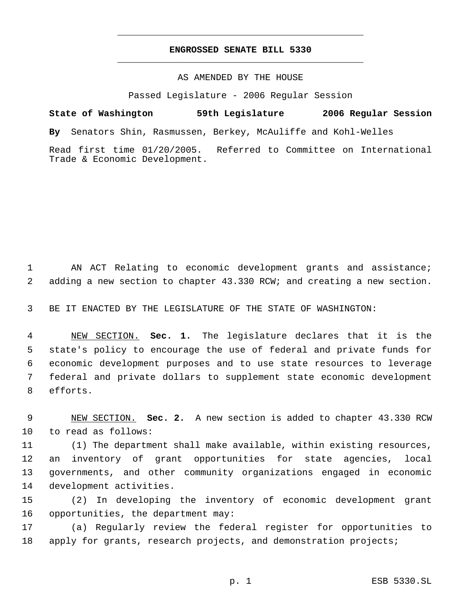## **ENGROSSED SENATE BILL 5330** \_\_\_\_\_\_\_\_\_\_\_\_\_\_\_\_\_\_\_\_\_\_\_\_\_\_\_\_\_\_\_\_\_\_\_\_\_\_\_\_\_\_\_\_\_

\_\_\_\_\_\_\_\_\_\_\_\_\_\_\_\_\_\_\_\_\_\_\_\_\_\_\_\_\_\_\_\_\_\_\_\_\_\_\_\_\_\_\_\_\_

## AS AMENDED BY THE HOUSE

Passed Legislature - 2006 Regular Session

**State of Washington 59th Legislature 2006 Regular Session By** Senators Shin, Rasmussen, Berkey, McAuliffe and Kohl-Welles Read first time 01/20/2005. Referred to Committee on International Trade & Economic Development.

 AN ACT Relating to economic development grants and assistance; adding a new section to chapter 43.330 RCW; and creating a new section.

BE IT ENACTED BY THE LEGISLATURE OF THE STATE OF WASHINGTON:

 NEW SECTION. **Sec. 1.** The legislature declares that it is the state's policy to encourage the use of federal and private funds for economic development purposes and to use state resources to leverage federal and private dollars to supplement state economic development efforts.

 NEW SECTION. **Sec. 2.** A new section is added to chapter 43.330 RCW to read as follows:

 (1) The department shall make available, within existing resources, an inventory of grant opportunities for state agencies, local governments, and other community organizations engaged in economic development activities.

 (2) In developing the inventory of economic development grant opportunities, the department may:

 (a) Regularly review the federal register for opportunities to 18 apply for grants, research projects, and demonstration projects;